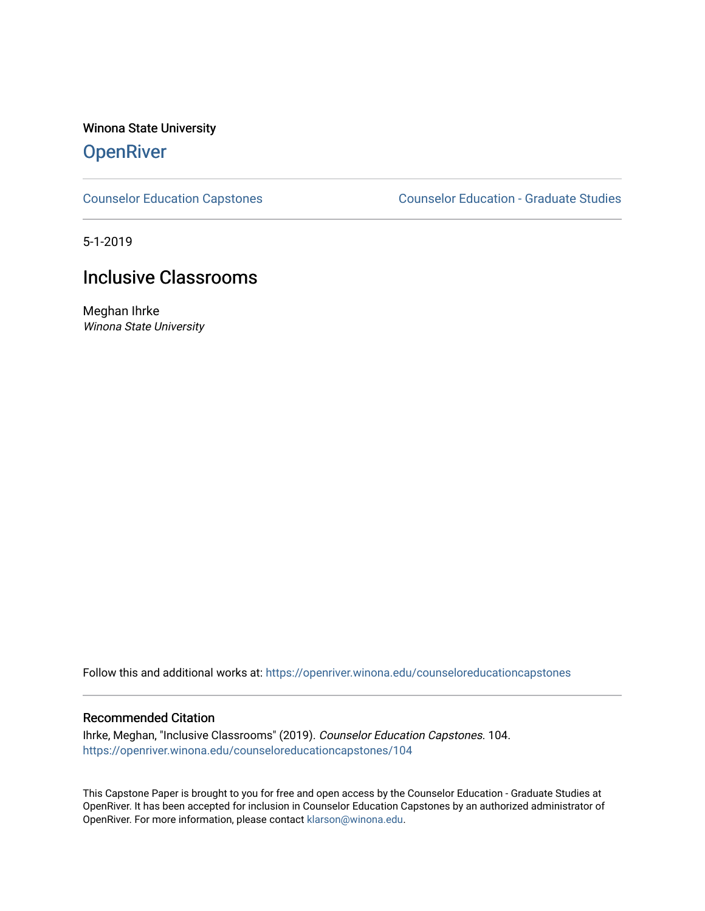Winona State University

# **OpenRiver**

[Counselor Education Capstones](https://openriver.winona.edu/counseloreducationcapstones) [Counselor Education - Graduate Studies](https://openriver.winona.edu/counseloreducation) 

5-1-2019

# Inclusive Classrooms

Meghan Ihrke Winona State University

Follow this and additional works at: [https://openriver.winona.edu/counseloreducationcapstones](https://openriver.winona.edu/counseloreducationcapstones?utm_source=openriver.winona.edu%2Fcounseloreducationcapstones%2F104&utm_medium=PDF&utm_campaign=PDFCoverPages)

## Recommended Citation

Ihrke, Meghan, "Inclusive Classrooms" (2019). Counselor Education Capstones. 104. [https://openriver.winona.edu/counseloreducationcapstones/104](https://openriver.winona.edu/counseloreducationcapstones/104?utm_source=openriver.winona.edu%2Fcounseloreducationcapstones%2F104&utm_medium=PDF&utm_campaign=PDFCoverPages)

This Capstone Paper is brought to you for free and open access by the Counselor Education - Graduate Studies at OpenRiver. It has been accepted for inclusion in Counselor Education Capstones by an authorized administrator of OpenRiver. For more information, please contact [klarson@winona.edu](mailto:klarson@winona.edu).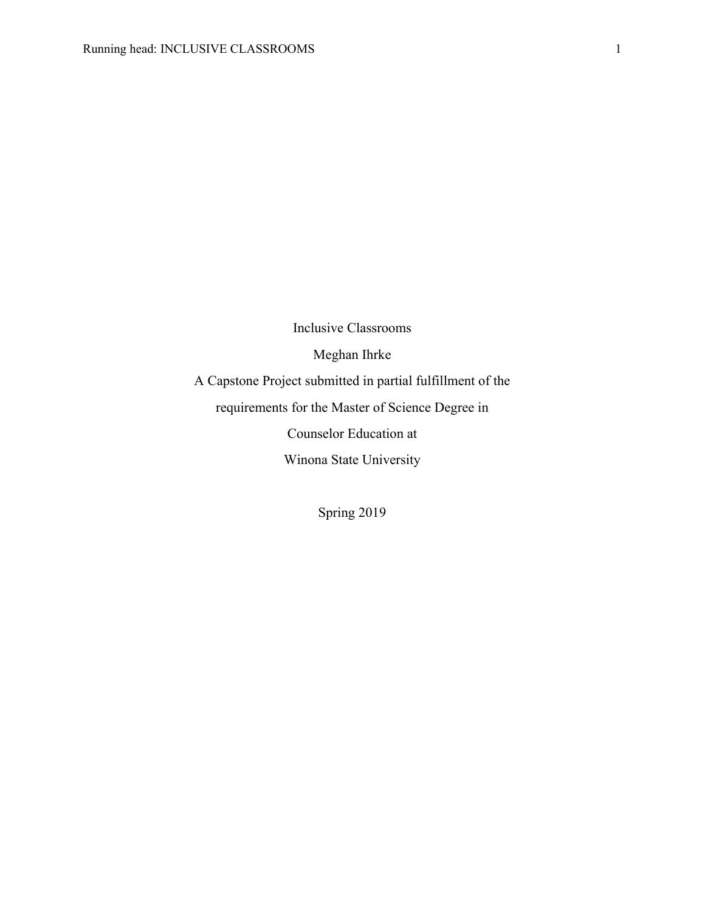Inclusive Classrooms Meghan Ihrke A Capstone Project submitted in partial fulfillment of the requirements for the Master of Science Degree in Counselor Education at Winona State University

Spring 2019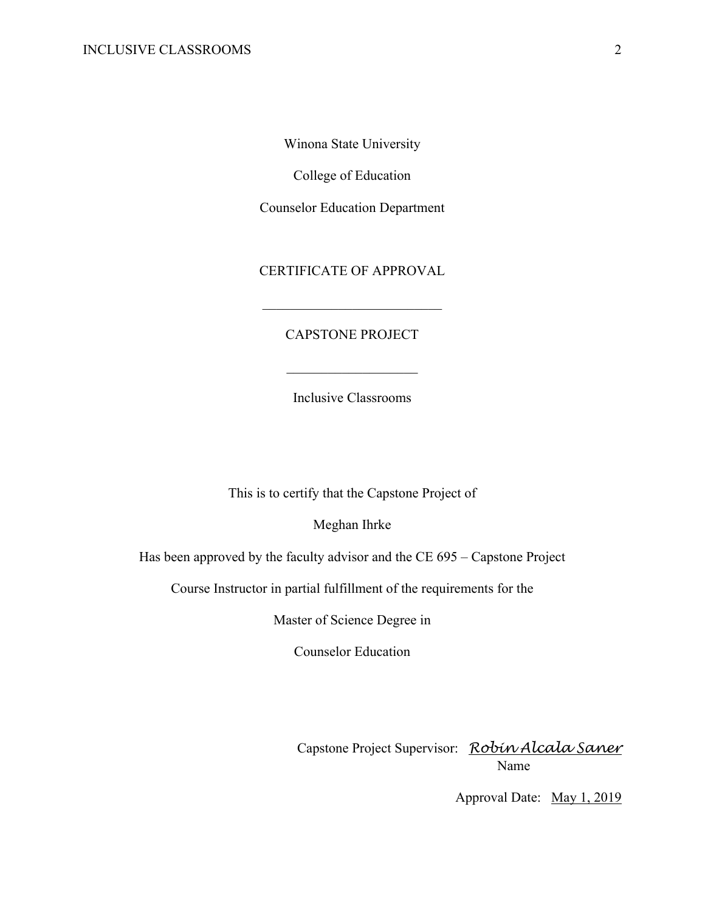Winona State University

College of Education

Counselor Education Department

CERTIFICATE OF APPROVAL

# CAPSTONE PROJECT

Inclusive Classrooms

This is to certify that the Capstone Project of

Meghan Ihrke

Has been approved by the faculty advisor and the CE 695 – Capstone Project

Course Instructor in partial fulfillment of the requirements for the

Master of Science Degree in

Counselor Education

Capstone Project Supervisor: *Robin Alcala Saner* Name

Approval Date: May 1, 2019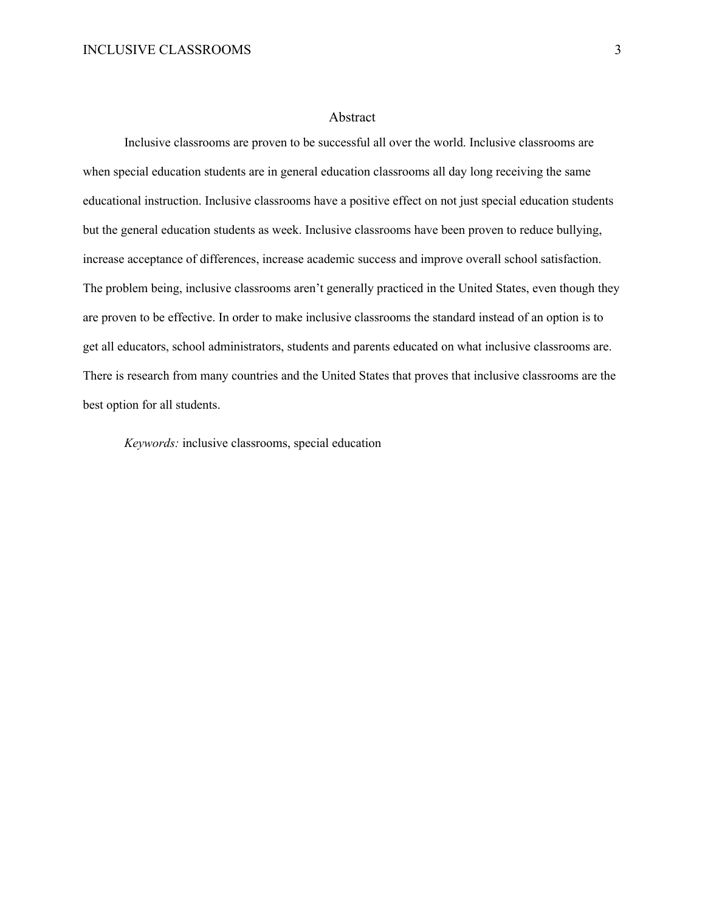#### Abstract

Inclusive classrooms are proven to be successful all over the world. Inclusive classrooms are when special education students are in general education classrooms all day long receiving the same educational instruction. Inclusive classrooms have a positive effect on not just special education students but the general education students as week. Inclusive classrooms have been proven to reduce bullying, increase acceptance of differences, increase academic success and improve overall school satisfaction. The problem being, inclusive classrooms aren't generally practiced in the United States, even though they are proven to be effective. In order to make inclusive classrooms the standard instead of an option is to get all educators, school administrators, students and parents educated on what inclusive classrooms are. There is research from many countries and the United States that proves that inclusive classrooms are the best option for all students.

*Keywords:* inclusive classrooms, special education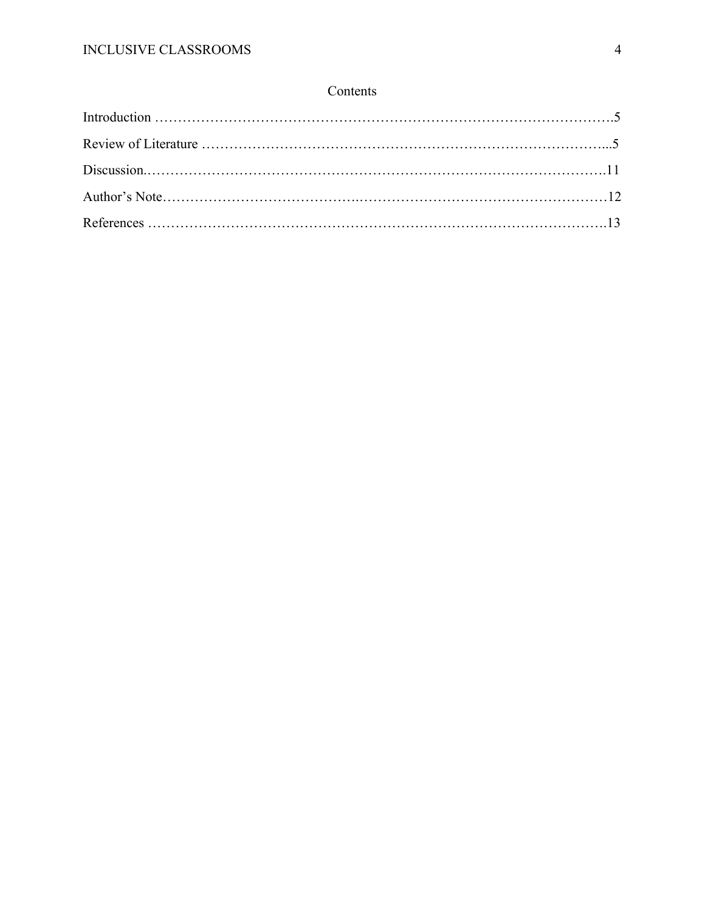# Contents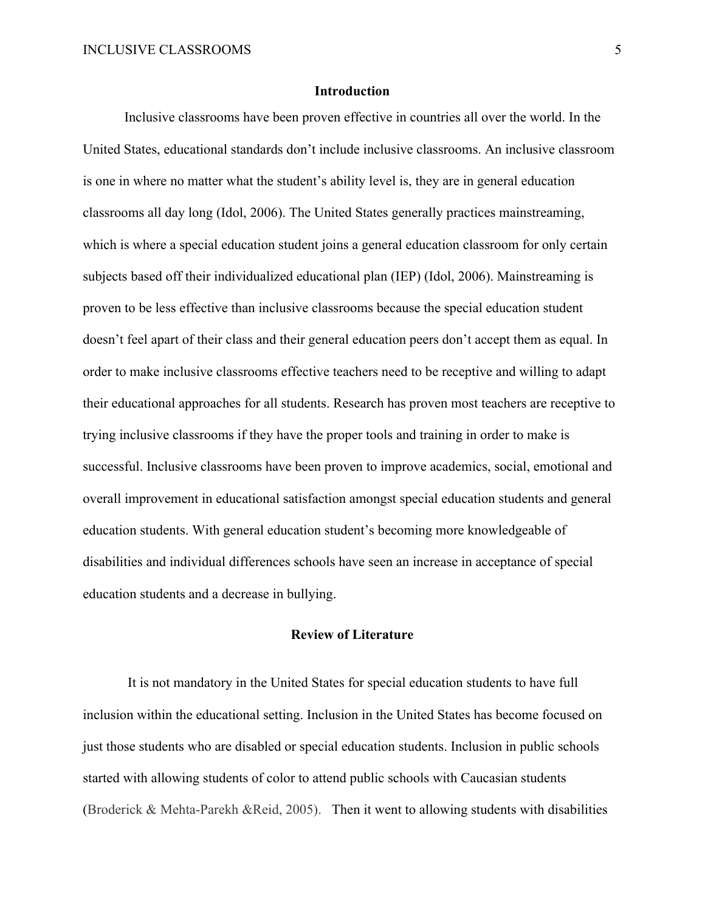# **Introduction**

Inclusive classrooms have been proven effective in countries all over the world. In the United States, educational standards don't include inclusive classrooms. An inclusive classroom is one in where no matter what the student's ability level is, they are in general education classrooms all day long (Idol, 2006). The United States generally practices mainstreaming, which is where a special education student joins a general education classroom for only certain subjects based off their individualized educational plan (IEP) (Idol, 2006). Mainstreaming is proven to be less effective than inclusive classrooms because the special education student doesn't feel apart of their class and their general education peers don't accept them as equal. In order to make inclusive classrooms effective teachers need to be receptive and willing to adapt their educational approaches for all students. Research has proven most teachers are receptive to trying inclusive classrooms if they have the proper tools and training in order to make is successful. Inclusive classrooms have been proven to improve academics, social, emotional and overall improvement in educational satisfaction amongst special education students and general education students. With general education student's becoming more knowledgeable of disabilities and individual differences schools have seen an increase in acceptance of special education students and a decrease in bullying.

#### **Review of Literature**

It is not mandatory in the United States for special education students to have full inclusion within the educational setting. Inclusion in the United States has become focused on just those students who are disabled or special education students. Inclusion in public schools started with allowing students of color to attend public schools with Caucasian students (Broderick & Mehta-Parekh &Reid, 2005). Then it went to allowing students with disabilities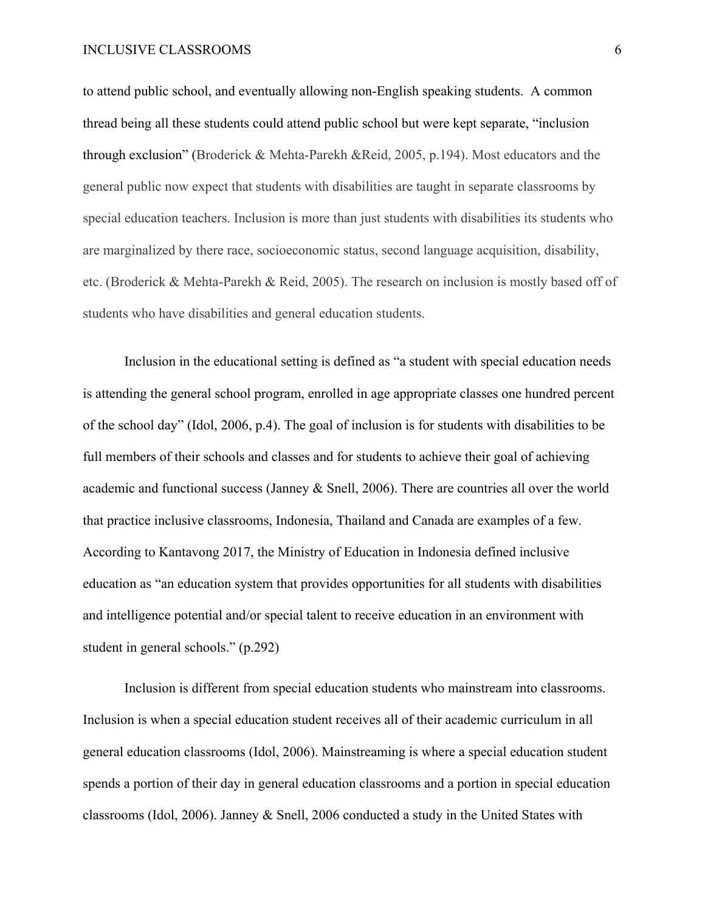to attend public school, and eventually allowing non-English speaking students. A common thread being all these students could attend public school but were kept separate, "inclusion through exclusion" (Broderick & Mehta-Parekh &Reid, 2005, p.194). Most educators and the general public now expect that students with disabilities are taught in separate classrooms by special education teachers. Inclusion is more than just students with disabilities its students who are marginalized by there race, socioeconomic status, second language acquisition, disability, etc. (Broderick & Mehta-Parekh & Reid, 2005). The research on inclusion is mostly based off of students who have disabilities and general education students.

Inclusion in the educational setting is defined as "a student with special education needs is attending the general school program, enrolled in age appropriate classes one hundred percent of the school day" (Idol, 2006, p.4). The goal of inclusion is for students with disabilities to be full members of their schools and classes and for students to achieve their goal of achieving academic and functional success (Janney & Snell, 2006). There are countries all over the world that practice inclusive classrooms, Indonesia, Thailand and Canada are examples of a few. According to Kantavong 2017, the Ministry of Education in Indonesia defined inclusive education as "an education system that provides opportunities for all students with disabilities and intelligence potential and/or special talent to receive education in an environment with student in general schools." (p.292)

Inclusion is different from special education students who mainstream into classrooms. Inclusion is when a special education student receives all of their academic curriculum in all general education classrooms (Idol, 2006). Mainstreaming is where a special education student spends a portion of their day in general education classrooms and a portion in special education classrooms (Idol, 2006). Janney & Snell, 2006 conducted a study in the United States with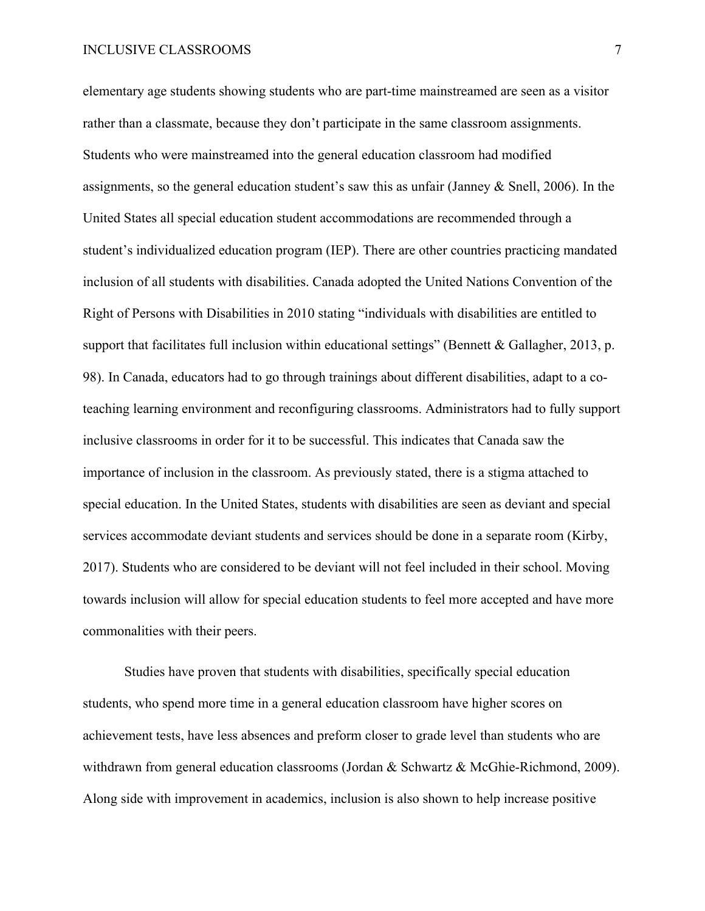elementary age students showing students who are part-time mainstreamed are seen as a visitor rather than a classmate, because they don't participate in the same classroom assignments. Students who were mainstreamed into the general education classroom had modified assignments, so the general education student's saw this as unfair (Janney & Snell, 2006). In the United States all special education student accommodations are recommended through a student's individualized education program (IEP). There are other countries practicing mandated inclusion of all students with disabilities. Canada adopted the United Nations Convention of the Right of Persons with Disabilities in 2010 stating "individuals with disabilities are entitled to support that facilitates full inclusion within educational settings" (Bennett & Gallagher, 2013, p. 98). In Canada, educators had to go through trainings about different disabilities, adapt to a coteaching learning environment and reconfiguring classrooms. Administrators had to fully support inclusive classrooms in order for it to be successful. This indicates that Canada saw the importance of inclusion in the classroom. As previously stated, there is a stigma attached to special education. In the United States, students with disabilities are seen as deviant and special services accommodate deviant students and services should be done in a separate room (Kirby, 2017). Students who are considered to be deviant will not feel included in their school. Moving towards inclusion will allow for special education students to feel more accepted and have more commonalities with their peers.

Studies have proven that students with disabilities, specifically special education students, who spend more time in a general education classroom have higher scores on achievement tests, have less absences and preform closer to grade level than students who are withdrawn from general education classrooms (Jordan & Schwartz & McGhie-Richmond, 2009). Along side with improvement in academics, inclusion is also shown to help increase positive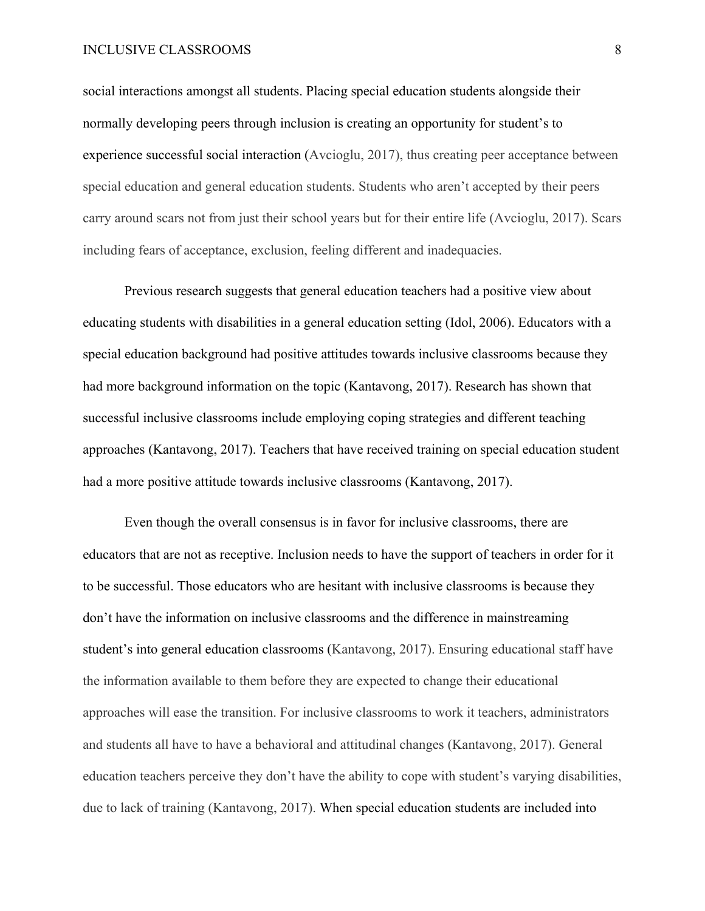social interactions amongst all students. Placing special education students alongside their normally developing peers through inclusion is creating an opportunity for student's to experience successful social interaction (Avcioglu, 2017), thus creating peer acceptance between special education and general education students. Students who aren't accepted by their peers carry around scars not from just their school years but for their entire life (Avcioglu, 2017). Scars including fears of acceptance, exclusion, feeling different and inadequacies.

Previous research suggests that general education teachers had a positive view about educating students with disabilities in a general education setting (Idol, 2006). Educators with a special education background had positive attitudes towards inclusive classrooms because they had more background information on the topic (Kantavong, 2017). Research has shown that successful inclusive classrooms include employing coping strategies and different teaching approaches (Kantavong, 2017). Teachers that have received training on special education student had a more positive attitude towards inclusive classrooms (Kantavong, 2017).

Even though the overall consensus is in favor for inclusive classrooms, there are educators that are not as receptive. Inclusion needs to have the support of teachers in order for it to be successful. Those educators who are hesitant with inclusive classrooms is because they don't have the information on inclusive classrooms and the difference in mainstreaming student's into general education classrooms (Kantavong, 2017). Ensuring educational staff have the information available to them before they are expected to change their educational approaches will ease the transition. For inclusive classrooms to work it teachers, administrators and students all have to have a behavioral and attitudinal changes (Kantavong, 2017). General education teachers perceive they don't have the ability to cope with student's varying disabilities, due to lack of training (Kantavong, 2017). When special education students are included into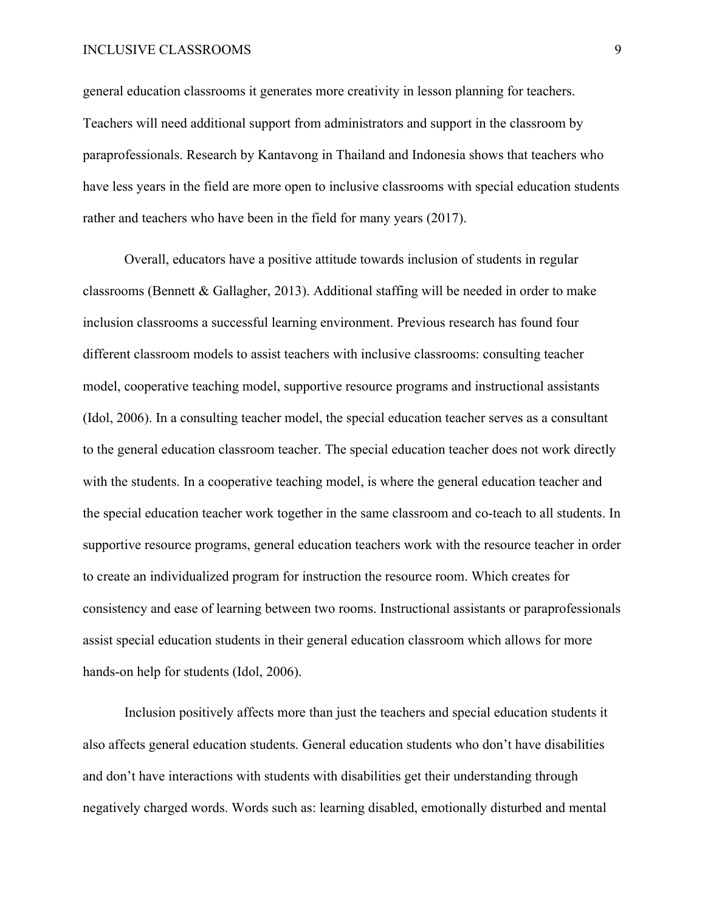general education classrooms it generates more creativity in lesson planning for teachers. Teachers will need additional support from administrators and support in the classroom by paraprofessionals. Research by Kantavong in Thailand and Indonesia shows that teachers who have less years in the field are more open to inclusive classrooms with special education students rather and teachers who have been in the field for many years (2017).

Overall, educators have a positive attitude towards inclusion of students in regular classrooms (Bennett & Gallagher, 2013). Additional staffing will be needed in order to make inclusion classrooms a successful learning environment. Previous research has found four different classroom models to assist teachers with inclusive classrooms: consulting teacher model, cooperative teaching model, supportive resource programs and instructional assistants (Idol, 2006). In a consulting teacher model, the special education teacher serves as a consultant to the general education classroom teacher. The special education teacher does not work directly with the students. In a cooperative teaching model, is where the general education teacher and the special education teacher work together in the same classroom and co-teach to all students. In supportive resource programs, general education teachers work with the resource teacher in order to create an individualized program for instruction the resource room. Which creates for consistency and ease of learning between two rooms. Instructional assistants or paraprofessionals assist special education students in their general education classroom which allows for more hands-on help for students (Idol, 2006).

Inclusion positively affects more than just the teachers and special education students it also affects general education students. General education students who don't have disabilities and don't have interactions with students with disabilities get their understanding through negatively charged words. Words such as: learning disabled, emotionally disturbed and mental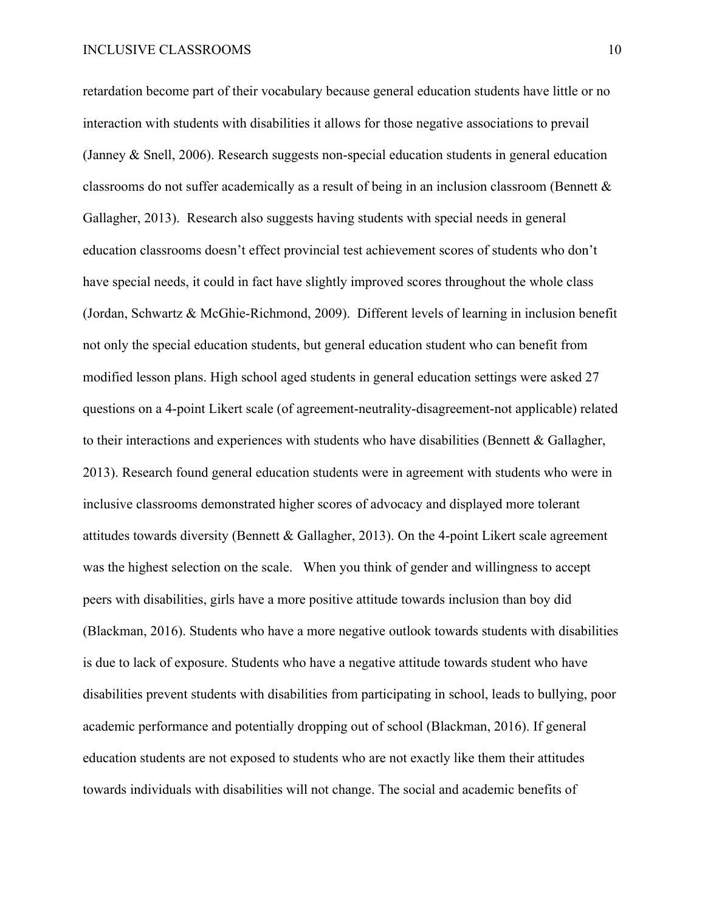retardation become part of their vocabulary because general education students have little or no interaction with students with disabilities it allows for those negative associations to prevail (Janney & Snell, 2006). Research suggests non-special education students in general education classrooms do not suffer academically as a result of being in an inclusion classroom (Bennett & Gallagher, 2013). Research also suggests having students with special needs in general education classrooms doesn't effect provincial test achievement scores of students who don't have special needs, it could in fact have slightly improved scores throughout the whole class (Jordan, Schwartz & McGhie-Richmond, 2009). Different levels of learning in inclusion benefit not only the special education students, but general education student who can benefit from modified lesson plans. High school aged students in general education settings were asked 27 questions on a 4-point Likert scale (of agreement-neutrality-disagreement-not applicable) related to their interactions and experiences with students who have disabilities (Bennett & Gallagher, 2013). Research found general education students were in agreement with students who were in inclusive classrooms demonstrated higher scores of advocacy and displayed more tolerant attitudes towards diversity (Bennett & Gallagher, 2013). On the 4-point Likert scale agreement was the highest selection on the scale. When you think of gender and willingness to accept peers with disabilities, girls have a more positive attitude towards inclusion than boy did (Blackman, 2016). Students who have a more negative outlook towards students with disabilities is due to lack of exposure. Students who have a negative attitude towards student who have disabilities prevent students with disabilities from participating in school, leads to bullying, poor academic performance and potentially dropping out of school (Blackman, 2016). If general education students are not exposed to students who are not exactly like them their attitudes towards individuals with disabilities will not change. The social and academic benefits of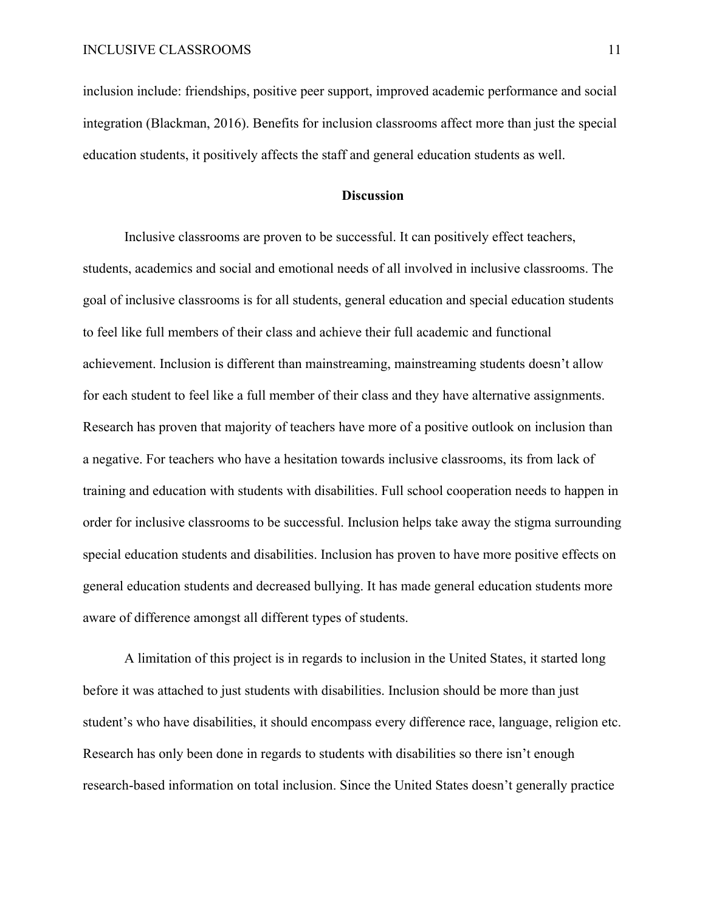inclusion include: friendships, positive peer support, improved academic performance and social integration (Blackman, 2016). Benefits for inclusion classrooms affect more than just the special education students, it positively affects the staff and general education students as well.

# **Discussion**

Inclusive classrooms are proven to be successful. It can positively effect teachers, students, academics and social and emotional needs of all involved in inclusive classrooms. The goal of inclusive classrooms is for all students, general education and special education students to feel like full members of their class and achieve their full academic and functional achievement. Inclusion is different than mainstreaming, mainstreaming students doesn't allow for each student to feel like a full member of their class and they have alternative assignments. Research has proven that majority of teachers have more of a positive outlook on inclusion than a negative. For teachers who have a hesitation towards inclusive classrooms, its from lack of training and education with students with disabilities. Full school cooperation needs to happen in order for inclusive classrooms to be successful. Inclusion helps take away the stigma surrounding special education students and disabilities. Inclusion has proven to have more positive effects on general education students and decreased bullying. It has made general education students more aware of difference amongst all different types of students.

A limitation of this project is in regards to inclusion in the United States, it started long before it was attached to just students with disabilities. Inclusion should be more than just student's who have disabilities, it should encompass every difference race, language, religion etc. Research has only been done in regards to students with disabilities so there isn't enough research-based information on total inclusion. Since the United States doesn't generally practice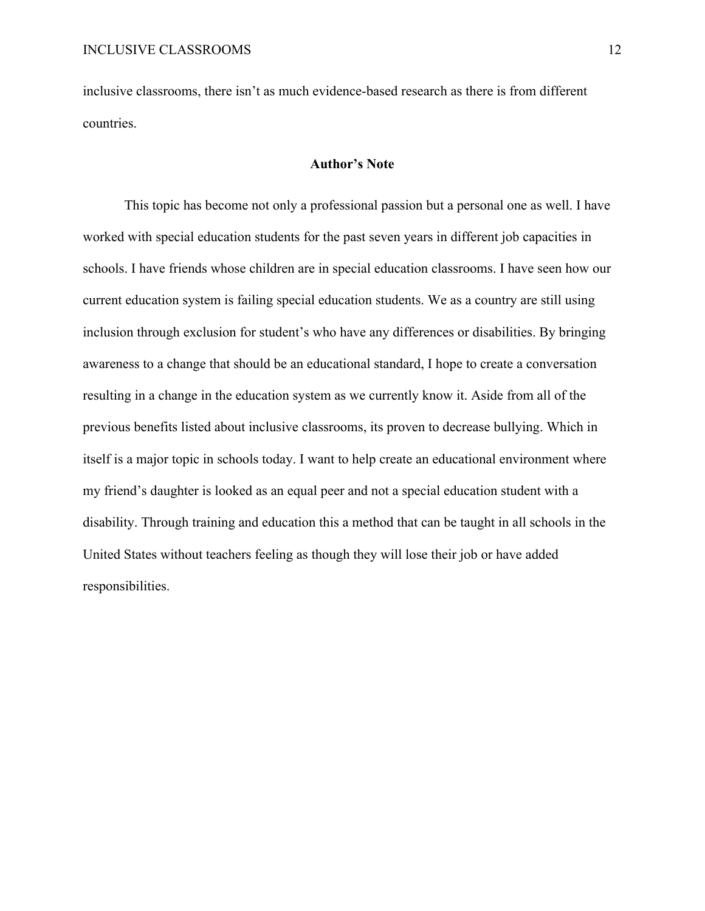inclusive classrooms, there isn't as much evidence-based research as there is from different countries.

#### **Author's Note**

This topic has become not only a professional passion but a personal one as well. I have worked with special education students for the past seven years in different job capacities in schools. I have friends whose children are in special education classrooms. I have seen how our current education system is failing special education students. We as a country are still using inclusion through exclusion for student's who have any differences or disabilities. By bringing awareness to a change that should be an educational standard, I hope to create a conversation resulting in a change in the education system as we currently know it. Aside from all of the previous benefits listed about inclusive classrooms, its proven to decrease bullying. Which in itself is a major topic in schools today. I want to help create an educational environment where my friend's daughter is looked as an equal peer and not a special education student with a disability. Through training and education this a method that can be taught in all schools in the United States without teachers feeling as though they will lose their job or have added responsibilities.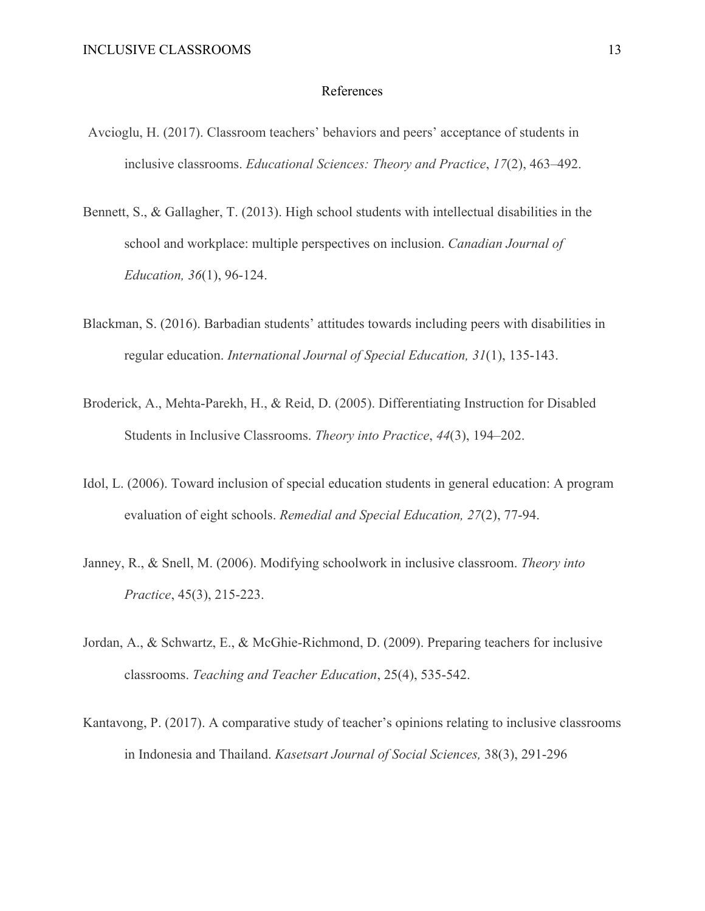#### References

- Avcioglu, H. (2017). Classroom teachers' behaviors and peers' acceptance of students in inclusive classrooms. *Educational Sciences: Theory and Practice*, *17*(2), 463–492.
- Bennett, S., & Gallagher, T. (2013). High school students with intellectual disabilities in the school and workplace: multiple perspectives on inclusion. *Canadian Journal of Education, 36*(1), 96-124.
- Blackman, S. (2016). Barbadian students' attitudes towards including peers with disabilities in regular education. *International Journal of Special Education, 31*(1), 135-143.
- Broderick, A., Mehta-Parekh, H., & Reid, D. (2005). Differentiating Instruction for Disabled Students in Inclusive Classrooms. *Theory into Practice*, *44*(3), 194–202.
- Idol, L. (2006). Toward inclusion of special education students in general education: A program evaluation of eight schools. *Remedial and Special Education, 27*(2), 77-94.
- Janney, R., & Snell, M. (2006). Modifying schoolwork in inclusive classroom. *Theory into Practice*, 45(3), 215-223.
- Jordan, A., & Schwartz, E., & McGhie-Richmond, D. (2009). Preparing teachers for inclusive classrooms. *Teaching and Teacher Education*, 25(4), 535-542.
- Kantavong, P. (2017). A comparative study of teacher's opinions relating to inclusive classrooms in Indonesia and Thailand. *Kasetsart Journal of Social Sciences,* 38(3), 291-296